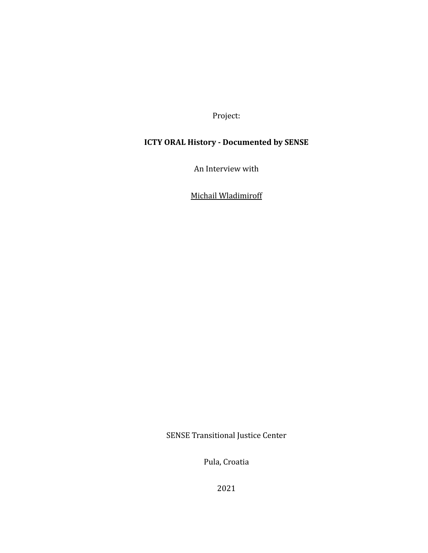Project:

# **ICTY ORAL History - Documented by SENSE**

An Interview with

Michail Wladimiroff

SENSE Transitional Justice Center

Pula, Croatia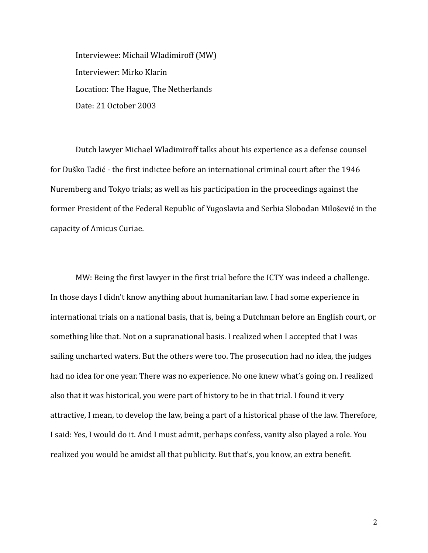Interviewee: Michail Wladimiroff (MW) Interviewer: Mirko Klarin Location: The Hague, The Netherlands Date: 21 October 2003

Dutch lawyer Michael Wladimiroff talks about his experience as a defense counsel for Duško Tadić - the first indictee before an international criminal court after the 1946 Nuremberg and Tokyo trials; as well as his participation in the proceedings against the former President of the Federal Republic of Yugoslavia and Serbia Slobodan Milošević in the capacity of Amicus Curiae.

MW: Being the first lawyer in the first trial before the ICTY was indeed a challenge. In those days I didn't know anything about humanitarian law. I had some experience in international trials on a national basis, that is, being a Dutchman before an English court, or something like that. Not on a supranational basis. I realized when I accepted that I was sailing uncharted waters. But the others were too. The prosecution had no idea, the judges had no idea for one year. There was no experience. No one knew what's going on. I realized also that it was historical, you were part of history to be in that trial. I found it very attractive, I mean, to develop the law, being a part of a historical phase of the law. Therefore, I said: Yes, I would do it. And I must admit, perhaps confess, vanity also played a role. You realized you would be amidst all that publicity. But that's, you know, an extra benefit.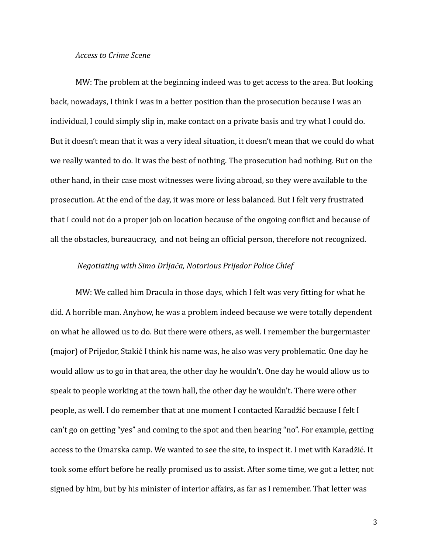#### *Access to Crime Scene*

MW: The problem at the beginning indeed was to get access to the area. But looking back, nowadays, I think I was in a better position than the prosecution because I was an individual, I could simply slip in, make contact on a private basis and try what I could do. But it doesn't mean that it was a very ideal situation, it doesn't mean that we could do what we really wanted to do. It was the best of nothing. The prosecution had nothing. But on the other hand, in their case most witnesses were living abroad, so they were available to the prosecution. At the end of the day, it was more or less balanced. But I felt very frustrated that I could not do a proper job on location because of the ongoing conflict and because of all the obstacles, bureaucracy, and not being an official person, therefore not recognized.

# *Negotiating with Simo Drljača, Notorious Prijedor Police Chief*

MW: We called him Dracula in those days, which I felt was very fitting for what he did. A horrible man. Anyhow, he was a problem indeed because we were totally dependent on what he allowed us to do. But there were others, as well. I remember the burgermaster (major) of Prijedor, Stakić I think his name was, he also was very problematic. One day he would allow us to go in that area, the other day he wouldn't. One day he would allow us to speak to people working at the town hall, the other day he wouldn't. There were other people, as well. I do remember that at one moment I contacted Karadžić because I felt I can't go on getting "yes" and coming to the spot and then hearing "no". For example, getting access to the Omarska camp. We wanted to see the site, to inspect it. I met with Karadžić. It took some effort before he really promised us to assist. After some time, we got a letter, not signed by him, but by his minister of interior affairs, as far as I remember. That letter was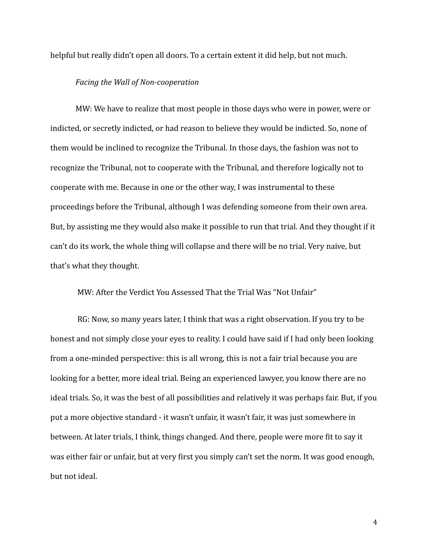helpful but really didn't open all doors. To a certain extent it did help, but not much.

# *Facing the Wall of Non-cooperation*

MW: We have to realize that most people in those days who were in power, were or indicted, or secretly indicted, or had reason to believe they would be indicted. So, none of them would be inclined to recognize the Tribunal. In those days, the fashion was not to recognize the Tribunal, not to cooperate with the Tribunal, and therefore logically not to cooperate with me. Because in one or the other way, I was instrumental to these proceedings before the Tribunal, although I was defending someone from their own area. But, by assisting me they would also make it possible to run that trial. And they thought if it can't do its work, the whole thing will collapse and there will be no trial. Very naive, but that's what they thought.

MW: After the Verdict You Assessed That the Trial Was "Not Unfair"

RG: Now, so many years later, I think that was a right observation. If you try to be honest and not simply close your eyes to reality. I could have said if I had only been looking from a one-minded perspective: this is all wrong, this is not a fair trial because you are looking for a better, more ideal trial. Being an experienced lawyer, you know there are no ideal trials. So, it was the best of all possibilities and relatively it was perhaps fair. But, if you put a more objective standard - it wasn't unfair, it wasn't fair, it was just somewhere in between. At later trials, I think, things changed. And there, people were more fit to say it was either fair or unfair, but at very first you simply can't set the norm. It was good enough, but not ideal.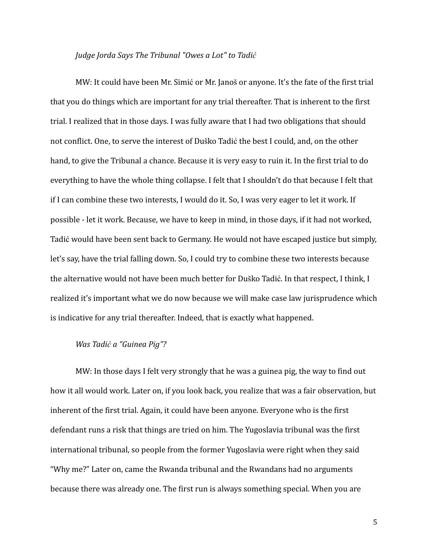# *Judge Jorda Says The Tribunal "Owes a Lot" to Tadić*

MW: It could have been Mr. Simić or Mr. Janoš or anyone. It's the fate of the first trial that you do things which are important for any trial thereafter. That is inherent to the first trial. I realized that in those days. I was fully aware that I had two obligations that should not conflict. One, to serve the interest of Duško Tadić the best I could, and, on the other hand, to give the Tribunal a chance. Because it is very easy to ruin it. In the first trial to do everything to have the whole thing collapse. I felt that I shouldn't do that because I felt that if I can combine these two interests, I would do it. So, I was very eager to let it work. If possible - let it work. Because, we have to keep in mind, in those days, if it had not worked, Tadić would have been sent back to Germany. He would not have escaped justice but simply, let's say, have the trial falling down. So, I could try to combine these two interests because the alternative would not have been much better for Duško Tadić. In that respect, I think, I realized it's important what we do now because we will make case law jurisprudence which is indicative for any trial thereafter. Indeed, that is exactly what happened.

# *Was Tadić a "Guinea Pig"?*

MW: In those days I felt very strongly that he was a guinea pig, the way to find out how it all would work. Later on, if you look back, you realize that was a fair observation, but inherent of the first trial. Again, it could have been anyone. Everyone who is the first defendant runs a risk that things are tried on him. The Yugoslavia tribunal was the first international tribunal, so people from the former Yugoslavia were right when they said "Why me?" Later on, came the Rwanda tribunal and the Rwandans had no arguments because there was already one. The first run is always something special. When you are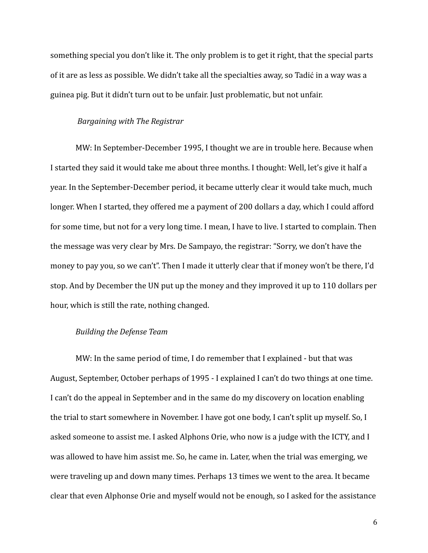something special you don't like it. The only problem is to get it right, that the special parts of it are as less as possible. We didn't take all the specialties away, so Tadić in a way was a guinea pig. But it didn't turn out to be unfair. Just problematic, but not unfair.

#### *Bargaining with The Registrar*

MW: In September-December 1995, I thought we are in trouble here. Because when I started they said it would take me about three months. I thought: Well, let's give it half a year. In the September-December period, it became utterly clear it would take much, much longer. When I started, they offered me a payment of 200 dollars a day, which I could afford for some time, but not for a very long time. I mean, I have to live. I started to complain. Then the message was very clear by Mrs. De Sampayo, the registrar: "Sorry, we don't have the money to pay you, so we can't". Then I made it utterly clear that if money won't be there, I'd stop. And by December the UN put up the money and they improved it up to 110 dollars per hour, which is still the rate, nothing changed.

# *Building the Defense Team*

MW: In the same period of time, I do remember that I explained - but that was August, September, October perhaps of 1995 - I explained I can't do two things at one time. I can't do the appeal in September and in the same do my discovery on location enabling the trial to start somewhere in November. I have got one body, I can't split up myself. So, I asked someone to assist me. I asked Alphons Orie, who now is a judge with the ICTY, and I was allowed to have him assist me. So, he came in. Later, when the trial was emerging, we were traveling up and down many times. Perhaps 13 times we went to the area. It became clear that even Alphonse Orie and myself would not be enough, so I asked for the assistance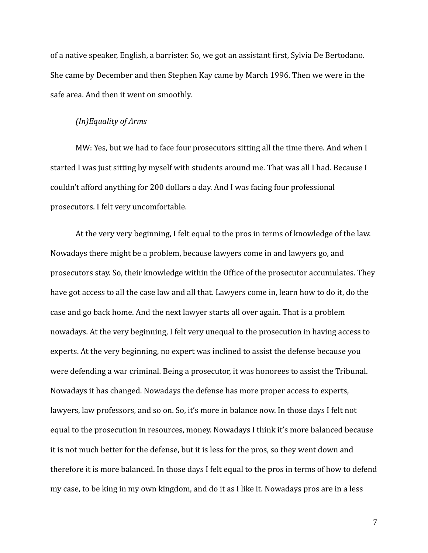of a native speaker, English, a barrister. So, we got an assistant first, Sylvia De Bertodano. She came by December and then Stephen Kay came by March 1996. Then we were in the safe area. And then it went on smoothly.

#### *(In)Equality of Arms*

MW: Yes, but we had to face four prosecutors sitting all the time there. And when I started I was just sitting by myself with students around me. That was all I had. Because I couldn't afford anything for 200 dollars a day. And I was facing four professional prosecutors. I felt very uncomfortable.

At the very very beginning, I felt equal to the pros in terms of knowledge of the law. Nowadays there might be a problem, because lawyers come in and lawyers go, and prosecutors stay. So, their knowledge within the Office of the prosecutor accumulates. They have got access to all the case law and all that. Lawyers come in, learn how to do it, do the case and go back home. And the next lawyer starts all over again. That is a problem nowadays. At the very beginning, I felt very unequal to the prosecution in having access to experts. At the very beginning, no expert was inclined to assist the defense because you were defending a war criminal. Being a prosecutor, it was honorees to assist the Tribunal. Nowadays it has changed. Nowadays the defense has more proper access to experts, lawyers, law professors, and so on. So, it's more in balance now. In those days I felt not equal to the prosecution in resources, money. Nowadays I think it's more balanced because it is not much better for the defense, but it is less for the pros, so they went down and therefore it is more balanced. In those days I felt equal to the pros in terms of how to defend my case, to be king in my own kingdom, and do it as I like it. Nowadays pros are in a less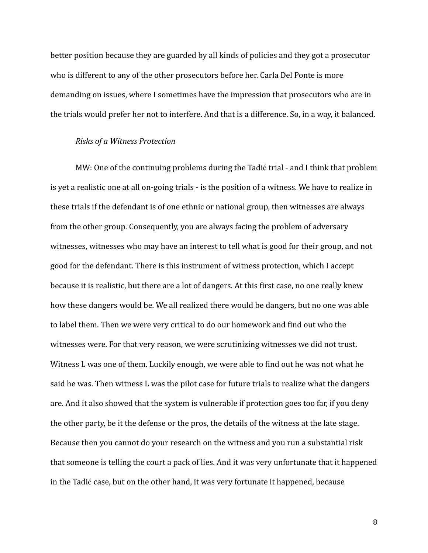better position because they are guarded by all kinds of policies and they got a prosecutor who is different to any of the other prosecutors before her. Carla Del Ponte is more demanding on issues, where I sometimes have the impression that prosecutors who are in the trials would prefer her not to interfere. And that is a difference. So, in a way, it balanced.

#### *Risks of a Witness Protection*

MW: One of the continuing problems during the Tadić trial - and I think that problem is yet a realistic one at all on-going trials - is the position of a witness. We have to realize in these trials if the defendant is of one ethnic or national group, then witnesses are always from the other group. Consequently, you are always facing the problem of adversary witnesses, witnesses who may have an interest to tell what is good for their group, and not good for the defendant. There is this instrument of witness protection, which I accept because it is realistic, but there are a lot of dangers. At this first case, no one really knew how these dangers would be. We all realized there would be dangers, but no one was able to label them. Then we were very critical to do our homework and find out who the witnesses were. For that very reason, we were scrutinizing witnesses we did not trust. Witness L was one of them. Luckily enough, we were able to find out he was not what he said he was. Then witness L was the pilot case for future trials to realize what the dangers are. And it also showed that the system is vulnerable if protection goes too far, if you deny the other party, be it the defense or the pros, the details of the witness at the late stage. Because then you cannot do your research on the witness and you run a substantial risk that someone is telling the court a pack of lies. And it was very unfortunate that it happened in the Tadić case, but on the other hand, it was very fortunate it happened, because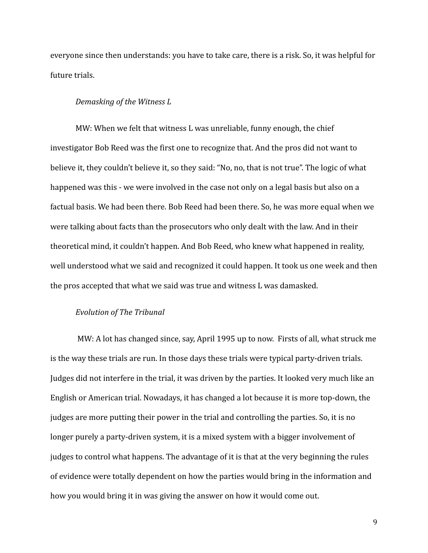everyone since then understands: you have to take care, there is a risk. So, it was helpful for future trials.

#### *Demasking of the Witness L*

MW: When we felt that witness L was unreliable, funny enough, the chief investigator Bob Reed was the first one to recognize that. And the pros did not want to believe it, they couldn't believe it, so they said: "No, no, that is not true". The logic of what happened was this - we were involved in the case not only on a legal basis but also on a factual basis. We had been there. Bob Reed had been there. So, he was more equal when we were talking about facts than the prosecutors who only dealt with the law. And in their theoretical mind, it couldn't happen. And Bob Reed, who knew what happened in reality, well understood what we said and recognized it could happen. It took us one week and then the pros accepted that what we said was true and witness L was damasked.

# *Evolution of The Tribunal*

MW: A lot has changed since, say, April 1995 up to now. Firsts of all, what struck me is the way these trials are run. In those days these trials were typical party-driven trials. Judges did not interfere in the trial, it was driven by the parties. It looked very much like an English or American trial. Nowadays, it has changed a lot because it is more top-down, the judges are more putting their power in the trial and controlling the parties. So, it is no longer purely a party-driven system, it is a mixed system with a bigger involvement of judges to control what happens. The advantage of it is that at the very beginning the rules of evidence were totally dependent on how the parties would bring in the information and how you would bring it in was giving the answer on how it would come out.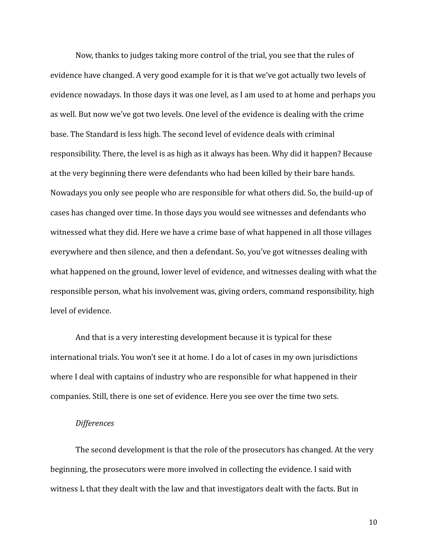Now, thanks to judges taking more control of the trial, you see that the rules of evidence have changed. A very good example for it is that we've got actually two levels of evidence nowadays. In those days it was one level, as I am used to at home and perhaps you as well. But now we've got two levels. One level of the evidence is dealing with the crime base. The Standard is less high. The second level of evidence deals with criminal responsibility. There, the level is as high as it always has been. Why did it happen? Because at the very beginning there were defendants who had been killed by their bare hands. Nowadays you only see people who are responsible for what others did. So, the build-up of cases has changed over time. In those days you would see witnesses and defendants who witnessed what they did. Here we have a crime base of what happened in all those villages everywhere and then silence, and then a defendant. So, you've got witnesses dealing with what happened on the ground, lower level of evidence, and witnesses dealing with what the responsible person, what his involvement was, giving orders, command responsibility, high level of evidence.

And that is a very interesting development because it is typical for these international trials. You won't see it at home. I do a lot of cases in my own jurisdictions where I deal with captains of industry who are responsible for what happened in their companies. Still, there is one set of evidence. Here you see over the time two sets.

# *Differences*

The second development is that the role of the prosecutors has changed. At the very beginning, the prosecutors were more involved in collecting the evidence. I said with witness L that they dealt with the law and that investigators dealt with the facts. But in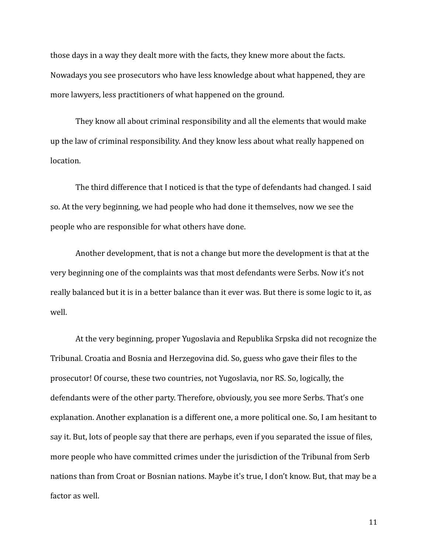those days in a way they dealt more with the facts, they knew more about the facts. Nowadays you see prosecutors who have less knowledge about what happened, they are more lawyers, less practitioners of what happened on the ground.

They know all about criminal responsibility and all the elements that would make up the law of criminal responsibility. And they know less about what really happened on location.

The third difference that I noticed is that the type of defendants had changed. I said so. At the very beginning, we had people who had done it themselves, now we see the people who are responsible for what others have done.

Another development, that is not a change but more the development is that at the very beginning one of the complaints was that most defendants were Serbs. Now it's not really balanced but it is in a better balance than it ever was. But there is some logic to it, as well.

At the very beginning, proper Yugoslavia and Republika Srpska did not recognize the Tribunal. Croatia and Bosnia and Herzegovina did. So, guess who gave their files to the prosecutor! Of course, these two countries, not Yugoslavia, nor RS. So, logically, the defendants were of the other party. Therefore, obviously, you see more Serbs. That's one explanation. Another explanation is a different one, a more political one. So, I am hesitant to say it. But, lots of people say that there are perhaps, even if you separated the issue of files, more people who have committed crimes under the jurisdiction of the Tribunal from Serb nations than from Croat or Bosnian nations. Maybe it's true, I don't know. But, that may be a factor as well.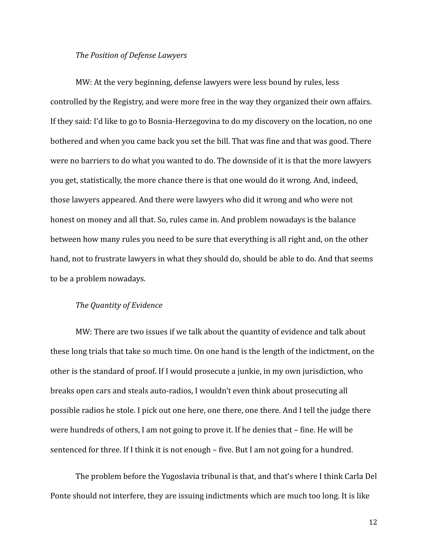#### *The Position of Defense Lawyers*

MW: At the very beginning, defense lawyers were less bound by rules, less controlled by the Registry, and were more free in the way they organized their own affairs. If they said: I'd like to go to Bosnia-Herzegovina to do my discovery on the location, no one bothered and when you came back you set the bill. That was fine and that was good. There were no barriers to do what you wanted to do. The downside of it is that the more lawyers you get, statistically, the more chance there is that one would do it wrong. And, indeed, those lawyers appeared. And there were lawyers who did it wrong and who were not honest on money and all that. So, rules came in. And problem nowadays is the balance between how many rules you need to be sure that everything is all right and, on the other hand, not to frustrate lawyers in what they should do, should be able to do. And that seems to be a problem nowadays.

# *The Quantity of Evidence*

MW: There are two issues if we talk about the quantity of evidence and talk about these long trials that take so much time. On one hand is the length of the indictment, on the other is the standard of proof. If I would prosecute a junkie, in my own jurisdiction, who breaks open cars and steals auto-radios, I wouldn't even think about prosecuting all possible radios he stole. I pick out one here, one there, one there. And I tell the judge there were hundreds of others, I am not going to prove it. If he denies that – fine. He will be sentenced for three. If I think it is not enough – five. But I am not going for a hundred.

The problem before the Yugoslavia tribunal is that, and that's where I think Carla Del Ponte should not interfere, they are issuing indictments which are much too long. It is like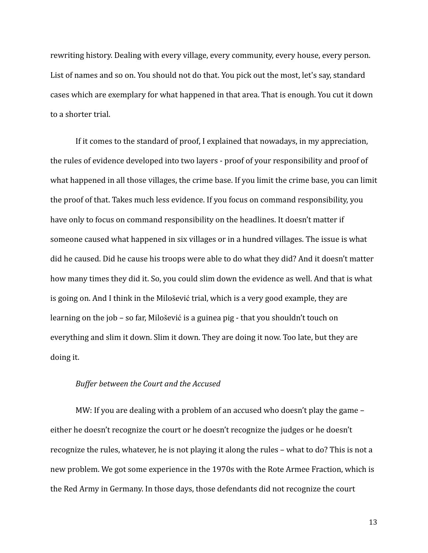rewriting history. Dealing with every village, every community, every house, every person. List of names and so on. You should not do that. You pick out the most, let's say, standard cases which are exemplary for what happened in that area. That is enough. You cut it down to a shorter trial.

If it comes to the standard of proof, I explained that nowadays, in my appreciation, the rules of evidence developed into two layers - proof of your responsibility and proof of what happened in all those villages, the crime base. If you limit the crime base, you can limit the proof of that. Takes much less evidence. If you focus on command responsibility, you have only to focus on command responsibility on the headlines. It doesn't matter if someone caused what happened in six villages or in a hundred villages. The issue is what did he caused. Did he cause his troops were able to do what they did? And it doesn't matter how many times they did it. So, you could slim down the evidence as well. And that is what is going on. And I think in the Milošević trial, which is a very good example, they are learning on the job – so far, Milošević is a guinea pig - that you shouldn't touch on everything and slim it down. Slim it down. They are doing it now. Too late, but they are doing it.

#### *Buffer between the Court and the Accused*

MW: If you are dealing with a problem of an accused who doesn't play the game – either he doesn't recognize the court or he doesn't recognize the judges or he doesn't recognize the rules, whatever, he is not playing it along the rules – what to do? This is not a new problem. We got some experience in the 1970s with the Rote Armee Fraction, which is the Red Army in Germany. In those days, those defendants did not recognize the court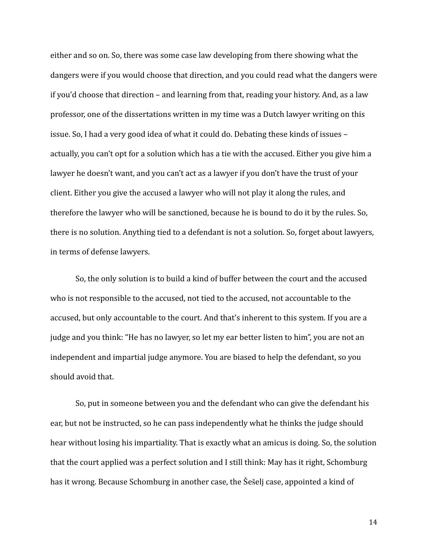either and so on. So, there was some case law developing from there showing what the dangers were if you would choose that direction, and you could read what the dangers were if you'd choose that direction – and learning from that, reading your history. And, as a law professor, one of the dissertations written in my time was a Dutch lawyer writing on this issue. So, I had a very good idea of what it could do. Debating these kinds of issues – actually, you can't opt for a solution which has a tie with the accused. Either you give him a lawyer he doesn't want, and you can't act as a lawyer if you don't have the trust of your client. Either you give the accused a lawyer who will not play it along the rules, and therefore the lawyer who will be sanctioned, because he is bound to do it by the rules. So, there is no solution. Anything tied to a defendant is not a solution. So, forget about lawyers, in terms of defense lawyers.

So, the only solution is to build a kind of buffer between the court and the accused who is not responsible to the accused, not tied to the accused, not accountable to the accused, but only accountable to the court. And that's inherent to this system. If you are a judge and you think: "He has no lawyer, so let my ear better listen to him", you are not an independent and impartial judge anymore. You are biased to help the defendant, so you should avoid that.

So, put in someone between you and the defendant who can give the defendant his ear, but not be instructed, so he can pass independently what he thinks the judge should hear without losing his impartiality. That is exactly what an amicus is doing. So, the solution that the court applied was a perfect solution and I still think: May has it right, Schomburg has it wrong. Because Schomburg in another case, the Šešelj case, appointed a kind of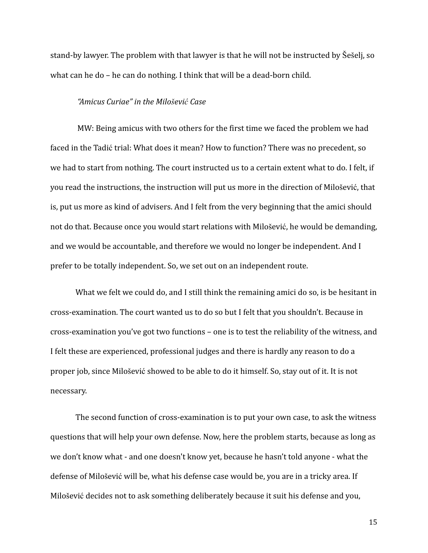stand-by lawyer. The problem with that lawyer is that he will not be instructed by Šešelj, so what can he do – he can do nothing. I think that will be a dead-born child.

#### *"Amicus Curiae" in the Milošević Case*

MW: Being amicus with two others for the first time we faced the problem we had faced in the Tadić trial: What does it mean? How to function? There was no precedent, so we had to start from nothing. The court instructed us to a certain extent what to do. I felt, if you read the instructions, the instruction will put us more in the direction of Milošević, that is, put us more as kind of advisers. And I felt from the very beginning that the amici should not do that. Because once you would start relations with Milošević, he would be demanding, and we would be accountable, and therefore we would no longer be independent. And I prefer to be totally independent. So, we set out on an independent route.

What we felt we could do, and I still think the remaining amici do so, is be hesitant in cross-examination. The court wanted us to do so but I felt that you shouldn't. Because in cross-examination you've got two functions – one is to test the reliability of the witness, and I felt these are experienced, professional judges and there is hardly any reason to do a proper job, since Milošević showed to be able to do it himself. So, stay out of it. It is not necessary.

The second function of cross-examination is to put your own case, to ask the witness questions that will help your own defense. Now, here the problem starts, because as long as we don't know what - and one doesn't know yet, because he hasn't told anyone - what the defense of Milošević will be, what his defense case would be, you are in a tricky area. If Milošević decides not to ask something deliberately because it suit his defense and you,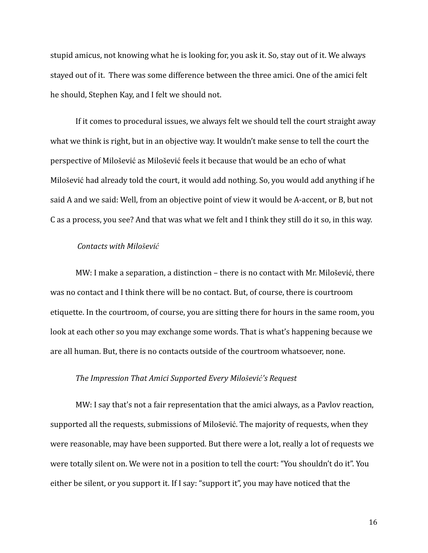stupid amicus, not knowing what he is looking for, you ask it. So, stay out of it. We always stayed out of it. There was some difference between the three amici. One of the amici felt he should, Stephen Kay, and I felt we should not.

If it comes to procedural issues, we always felt we should tell the court straight away what we think is right, but in an objective way. It wouldn't make sense to tell the court the perspective of Milošević as Milošević feels it because that would be an echo of what Milošević had already told the court, it would add nothing. So, you would add anything if he said A and we said: Well, from an objective point of view it would be A-accent, or B, but not C as a process, you see? And that was what we felt and I think they still do it so, in this way.

## *Contacts with Milošević*

MW: I make a separation, a distinction – there is no contact with Mr. Milošević, there was no contact and I think there will be no contact. But, of course, there is courtroom etiquette. In the courtroom, of course, you are sitting there for hours in the same room, you look at each other so you may exchange some words. That is what's happening because we are all human. But, there is no contacts outside of the courtroom whatsoever, none.

#### *The Impression That Amici Supported Every Milošević's Request*

MW: I say that's not a fair representation that the amici always, as a Pavlov reaction, supported all the requests, submissions of Milošević. The majority of requests, when they were reasonable, may have been supported. But there were a lot, really a lot of requests we were totally silent on. We were not in a position to tell the court: "You shouldn't do it". You either be silent, or you support it. If I say: "support it", you may have noticed that the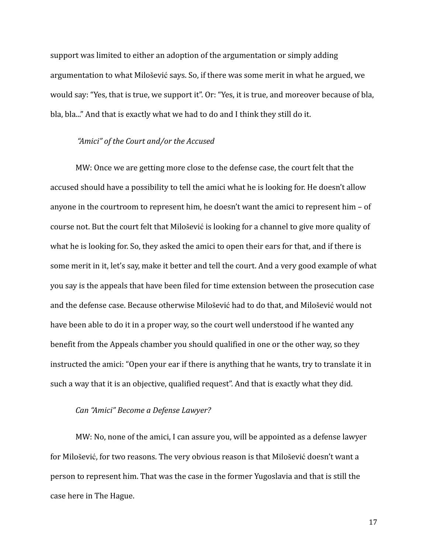support was limited to either an adoption of the argumentation or simply adding argumentation to what Milošević says. So, if there was some merit in what he argued, we would say: "Yes, that is true, we support it". Or: "Yes, it is true, and moreover because of bla, bla, bla..." And that is exactly what we had to do and I think they still do it.

# *"Amici" of the Court and/or the Accused*

MW: Once we are getting more close to the defense case, the court felt that the accused should have a possibility to tell the amici what he is looking for. He doesn't allow anyone in the courtroom to represent him, he doesn't want the amici to represent him – of course not. But the court felt that Milošević is looking for a channel to give more quality of what he is looking for. So, they asked the amici to open their ears for that, and if there is some merit in it, let's say, make it better and tell the court. And a very good example of what you say is the appeals that have been filed for time extension between the prosecution case and the defense case. Because otherwise Milošević had to do that, and Milošević would not have been able to do it in a proper way, so the court well understood if he wanted any benefit from the Appeals chamber you should qualified in one or the other way, so they instructed the amici: "Open your ear if there is anything that he wants, try to translate it in such a way that it is an objective, qualified request". And that is exactly what they did.

#### *Can "Amici" Become a Defense Lawyer?*

MW: No, none of the amici, I can assure you, will be appointed as a defense lawyer for Milošević, for two reasons. The very obvious reason is that Milošević doesn't want a person to represent him. That was the case in the former Yugoslavia and that is still the case here in The Hague.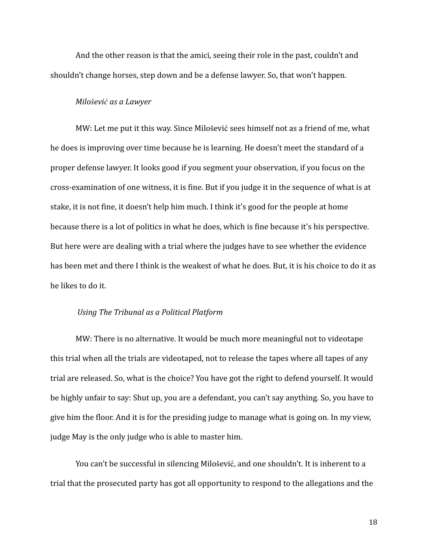And the other reason is that the amici, seeing their role in the past, couldn't and shouldn't change horses, step down and be a defense lawyer. So, that won't happen.

#### *Milošević as a Lawyer*

MW: Let me put it this way. Since Milošević sees himself not as a friend of me, what he does is improving over time because he is learning. He doesn't meet the standard of a proper defense lawyer. It looks good if you segment your observation, if you focus on the cross-examination of one witness, it is fine. But if you judge it in the sequence of what is at stake, it is not fine, it doesn't help him much. I think it's good for the people at home because there is a lot of politics in what he does, which is fine because it's his perspective. But here were are dealing with a trial where the judges have to see whether the evidence has been met and there I think is the weakest of what he does. But, it is his choice to do it as he likes to do it.

# *Using The Tribunal as a Political Platform*

MW: There is no alternative. It would be much more meaningful not to videotape this trial when all the trials are videotaped, not to release the tapes where all tapes of any trial are released. So, what is the choice? You have got the right to defend yourself. It would be highly unfair to say: Shut up, you are a defendant, you can't say anything. So, you have to give him the floor. And it is for the presiding judge to manage what is going on. In my view, judge May is the only judge who is able to master him.

You can't be successful in silencing Milošević, and one shouldn't. It is inherent to a trial that the prosecuted party has got all opportunity to respond to the allegations and the